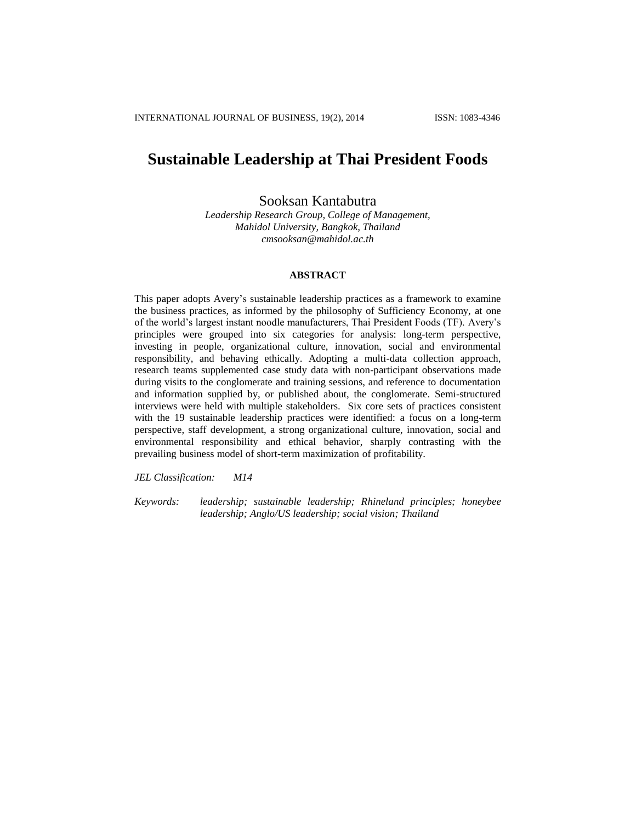# **Sustainable Leadership at Thai President Foods**

Sooksan Kantabutra

*Leadership Research Group, College of Management, Mahidol University, Bangkok, Thailand cmsooksan@mahidol.ac.th*

# **ABSTRACT**

This paper adopts Avery's sustainable leadership practices as a framework to examine the business practices, as informed by the philosophy of Sufficiency Economy, at one of the world's largest instant noodle manufacturers, Thai President Foods (TF). Avery's principles were grouped into six categories for analysis: long-term perspective, investing in people, organizational culture, innovation, social and environmental responsibility, and behaving ethically. Adopting a multi-data collection approach, research teams supplemented case study data with non-participant observations made during visits to the conglomerate and training sessions, and reference to documentation and information supplied by, or published about, the conglomerate. Semi-structured interviews were held with multiple stakeholders. Six core sets of practices consistent with the 19 sustainable leadership practices were identified: a focus on a long-term perspective, staff development, a strong organizational culture, innovation, social and environmental responsibility and ethical behavior, sharply contrasting with the prevailing business model of short-term maximization of profitability.

*JEL Classification: M14*

*Keywords: leadership; sustainable leadership; Rhineland principles; honeybee leadership; Anglo/US leadership; social vision; Thailand*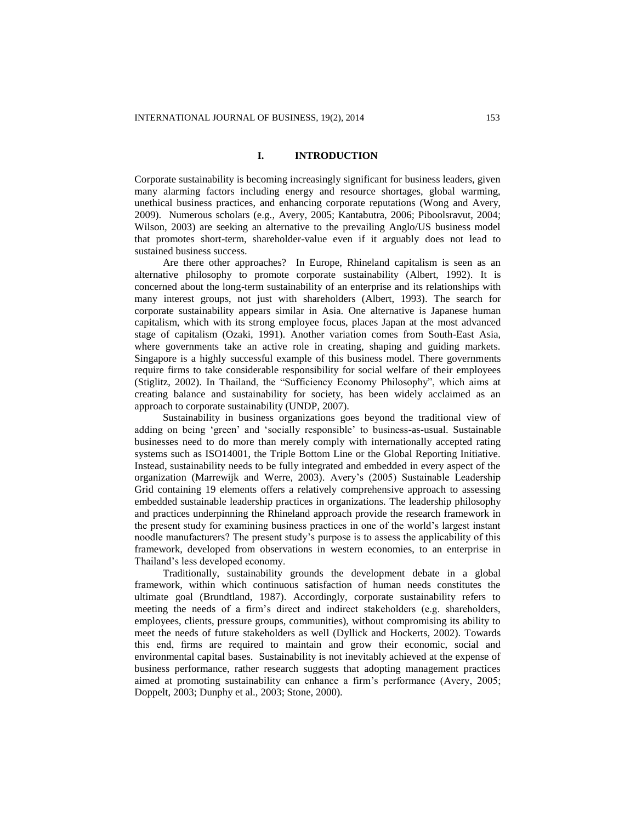## **I. INTRODUCTION**

Corporate sustainability is becoming increasingly significant for business leaders, given many alarming factors including energy and resource shortages, global warming, unethical business practices, and enhancing corporate reputations (Wong and Avery, 2009). Numerous scholars (e.g., Avery, 2005; Kantabutra, 2006; Piboolsravut, 2004; Wilson, 2003) are seeking an alternative to the prevailing Anglo/US business model that promotes short-term, shareholder-value even if it arguably does not lead to sustained business success.

Are there other approaches? In Europe, Rhineland capitalism is seen as an alternative philosophy to promote corporate sustainability (Albert, 1992). It is concerned about the long-term sustainability of an enterprise and its relationships with many interest groups, not just with shareholders (Albert, 1993). The search for corporate sustainability appears similar in Asia. One alternative is Japanese human capitalism, which with its strong employee focus, places Japan at the most advanced stage of capitalism (Ozaki, 1991). Another variation comes from South-East Asia, where governments take an active role in creating, shaping and guiding markets. Singapore is a highly successful example of this business model. There governments require firms to take considerable responsibility for social welfare of their employees (Stiglitz, 2002). In Thailand, the "Sufficiency Economy Philosophy", which aims at creating balance and sustainability for society, has been widely acclaimed as an approach to corporate sustainability (UNDP, 2007).

Sustainability in business organizations goes beyond the traditional view of adding on being 'green' and 'socially responsible' to business-as-usual. Sustainable businesses need to do more than merely comply with internationally accepted rating systems such as ISO14001, the Triple Bottom Line or the Global Reporting Initiative. Instead, sustainability needs to be fully integrated and embedded in every aspect of the organization (Marrewijk and Werre, 2003). Avery's (2005) Sustainable Leadership Grid containing 19 elements offers a relatively comprehensive approach to assessing embedded sustainable leadership practices in organizations. The leadership philosophy and practices underpinning the Rhineland approach provide the research framework in the present study for examining business practices in one of the world's largest instant noodle manufacturers? The present study's purpose is to assess the applicability of this framework, developed from observations in western economies, to an enterprise in Thailand's less developed economy.

Traditionally, sustainability grounds the development debate in a global framework, within which continuous satisfaction of human needs constitutes the ultimate goal (Brundtland, 1987). Accordingly, corporate sustainability refers to meeting the needs of a firm's direct and indirect stakeholders (e.g. shareholders, employees, clients, pressure groups, communities), without compromising its ability to meet the needs of future stakeholders as well (Dyllick and Hockerts, 2002). Towards this end, firms are required to maintain and grow their economic, social and environmental capital bases. Sustainability is not inevitably achieved at the expense of business performance, rather research suggests that adopting management practices aimed at promoting sustainability can enhance a firm's performance (Avery, 2005; Doppelt, 2003; Dunphy et al., 2003; Stone, 2000).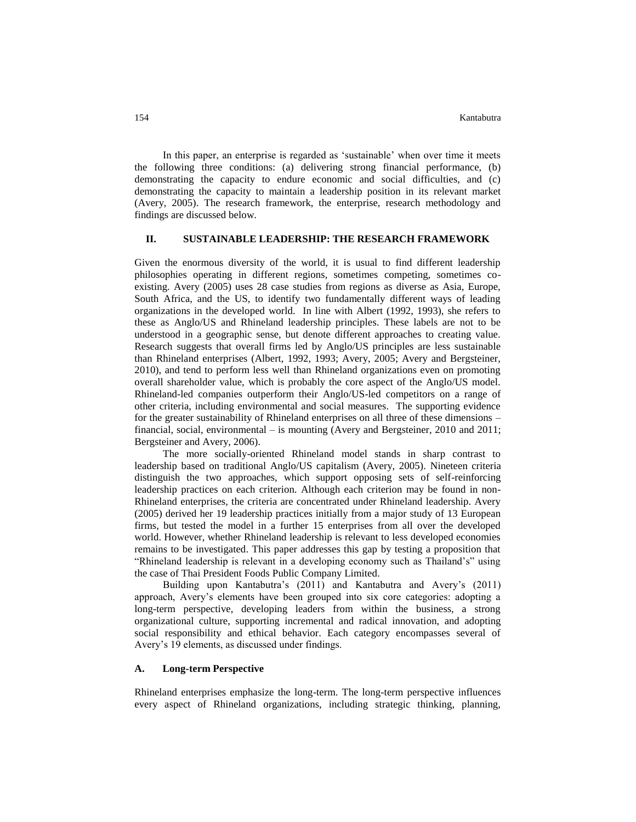In this paper, an enterprise is regarded as 'sustainable' when over time it meets the following three conditions: (a) delivering strong financial performance, (b) demonstrating the capacity to endure economic and social difficulties, and (c) demonstrating the capacity to maintain a leadership position in its relevant market (Avery, 2005). The research framework, the enterprise, research methodology and findings are discussed below.

## **II. SUSTAINABLE LEADERSHIP: THE RESEARCH FRAMEWORK**

Given the enormous diversity of the world, it is usual to find different leadership philosophies operating in different regions, sometimes competing, sometimes coexisting. Avery (2005) uses 28 case studies from regions as diverse as Asia, Europe, South Africa, and the US, to identify two fundamentally different ways of leading organizations in the developed world. In line with Albert (1992, 1993), she refers to these as Anglo/US and Rhineland leadership principles. These labels are not to be understood in a geographic sense, but denote different approaches to creating value. Research suggests that overall firms led by Anglo/US principles are less sustainable than Rhineland enterprises (Albert, 1992, 1993; Avery, 2005; Avery and Bergsteiner, 2010), and tend to perform less well than Rhineland organizations even on promoting overall shareholder value, which is probably the core aspect of the Anglo/US model. Rhineland-led companies outperform their Anglo/US-led competitors on a range of other criteria, including environmental and social measures. The supporting evidence for the greater sustainability of Rhineland enterprises on all three of these dimensions – financial, social, environmental – is mounting (Avery and Bergsteiner, 2010 and 2011; Bergsteiner and Avery, 2006).

The more socially-oriented Rhineland model stands in sharp contrast to leadership based on traditional Anglo/US capitalism (Avery, 2005). Nineteen criteria distinguish the two approaches, which support opposing sets of self-reinforcing leadership practices on each criterion. Although each criterion may be found in non-Rhineland enterprises, the criteria are concentrated under Rhineland leadership. Avery (2005) derived her 19 leadership practices initially from a major study of 13 European firms, but tested the model in a further 15 enterprises from all over the developed world. However, whether Rhineland leadership is relevant to less developed economies remains to be investigated. This paper addresses this gap by testing a proposition that "Rhineland leadership is relevant in a developing economy such as Thailand's" using the case of Thai President Foods Public Company Limited.

Building upon Kantabutra's (2011) and Kantabutra and Avery's (2011) approach, Avery's elements have been grouped into six core categories: adopting a long-term perspective, developing leaders from within the business, a strong organizational culture, supporting incremental and radical innovation, and adopting social responsibility and ethical behavior. Each category encompasses several of Avery's 19 elements, as discussed under findings.

## **A. Long-term Perspective**

Rhineland enterprises emphasize the long-term. The long-term perspective influences every aspect of Rhineland organizations, including strategic thinking, planning,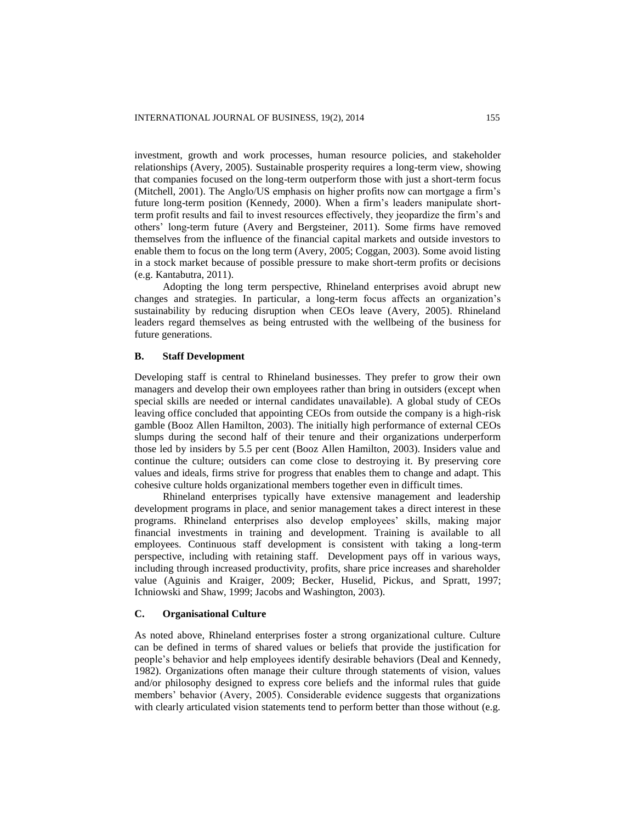investment, growth and work processes, human resource policies, and stakeholder relationships (Avery, 2005). Sustainable prosperity requires a long-term view, showing that companies focused on the long-term outperform those with just a short-term focus (Mitchell, 2001). The Anglo/US emphasis on higher profits now can mortgage a firm's future long-term position (Kennedy, 2000). When a firm's leaders manipulate shortterm profit results and fail to invest resources effectively, they jeopardize the firm's and others' long-term future (Avery and Bergsteiner, 2011). Some firms have removed themselves from the influence of the financial capital markets and outside investors to enable them to focus on the long term (Avery, 2005; Coggan, 2003). Some avoid listing in a stock market because of possible pressure to make short-term profits or decisions (e.g. Kantabutra, 2011).

Adopting the long term perspective, Rhineland enterprises avoid abrupt new changes and strategies. In particular, a long-term focus affects an organization's sustainability by reducing disruption when CEOs leave (Avery, 2005). Rhineland leaders regard themselves as being entrusted with the wellbeing of the business for future generations.

#### **B. Staff Development**

Developing staff is central to Rhineland businesses. They prefer to grow their own managers and develop their own employees rather than bring in outsiders (except when special skills are needed or internal candidates unavailable). A global study of CEOs leaving office concluded that appointing CEOs from outside the company is a high-risk gamble (Booz Allen Hamilton, 2003). The initially high performance of external CEOs slumps during the second half of their tenure and their organizations underperform those led by insiders by 5.5 per cent (Booz Allen Hamilton, 2003). Insiders value and continue the culture; outsiders can come close to destroying it. By preserving core values and ideals, firms strive for progress that enables them to change and adapt. This cohesive culture holds organizational members together even in difficult times.

Rhineland enterprises typically have extensive management and leadership development programs in place, and senior management takes a direct interest in these programs. Rhineland enterprises also develop employees' skills, making major financial investments in training and development. Training is available to all employees. Continuous staff development is consistent with taking a long-term perspective, including with retaining staff. Development pays off in various ways, including through increased productivity, profits, share price increases and shareholder value (Aguinis and Kraiger, 2009; Becker, Huselid, Pickus, and Spratt, 1997; Ichniowski and Shaw, 1999; Jacobs and Washington, 2003).

### **C. Organisational Culture**

As noted above, Rhineland enterprises foster a strong organizational culture. Culture can be defined in terms of shared values or beliefs that provide the justification for people's behavior and help employees identify desirable behaviors (Deal and Kennedy, 1982). Organizations often manage their culture through statements of vision, values and/or philosophy designed to express core beliefs and the informal rules that guide members' behavior (Avery, 2005). Considerable evidence suggests that organizations with clearly articulated vision statements tend to perform better than those without (e.g.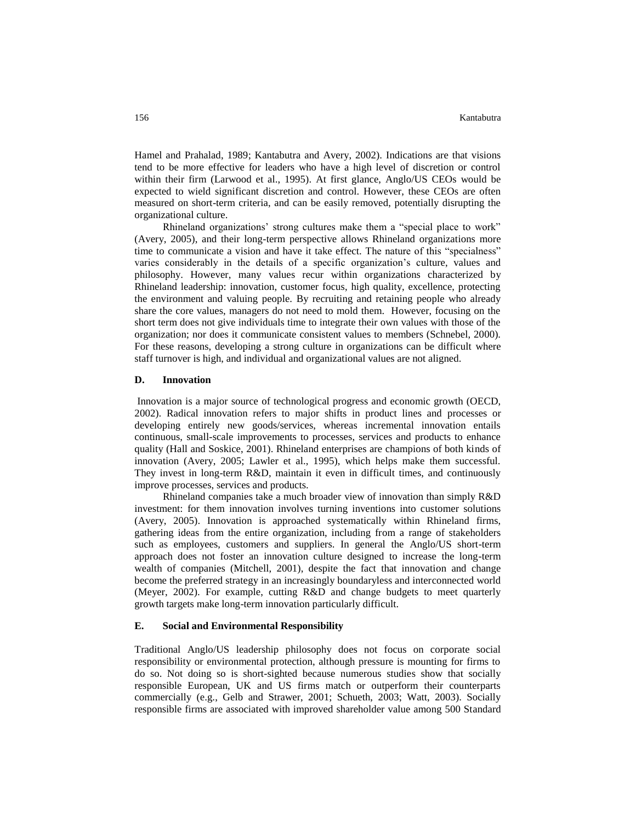Hamel and Prahalad, 1989; Kantabutra and Avery, 2002). Indications are that visions tend to be more effective for leaders who have a high level of discretion or control within their firm (Larwood et al., 1995). At first glance, Anglo/US CEOs would be expected to wield significant discretion and control. However, these CEOs are often measured on short-term criteria, and can be easily removed, potentially disrupting the organizational culture.

Rhineland organizations' strong cultures make them a "special place to work" (Avery, 2005), and their long-term perspective allows Rhineland organizations more time to communicate a vision and have it take effect. The nature of this "specialness" varies considerably in the details of a specific organization's culture, values and philosophy. However, many values recur within organizations characterized by Rhineland leadership: innovation, customer focus, high quality, excellence, protecting the environment and valuing people. By recruiting and retaining people who already share the core values, managers do not need to mold them. However, focusing on the short term does not give individuals time to integrate their own values with those of the organization; nor does it communicate consistent values to members (Schnebel, 2000). For these reasons, developing a strong culture in organizations can be difficult where staff turnover is high, and individual and organizational values are not aligned.

#### **D. Innovation**

Innovation is a major source of technological progress and economic growth (OECD, 2002). Radical innovation refers to major shifts in product lines and processes or developing entirely new goods/services, whereas incremental innovation entails continuous, small-scale improvements to processes, services and products to enhance quality (Hall and Soskice, 2001). Rhineland enterprises are champions of both kinds of innovation (Avery, 2005; Lawler et al., 1995), which helps make them successful. They invest in long-term R&D, maintain it even in difficult times, and continuously improve processes, services and products.

Rhineland companies take a much broader view of innovation than simply R&D investment: for them innovation involves turning inventions into customer solutions (Avery, 2005). Innovation is approached systematically within Rhineland firms, gathering ideas from the entire organization, including from a range of stakeholders such as employees, customers and suppliers. In general the Anglo/US short-term approach does not foster an innovation culture designed to increase the long-term wealth of companies (Mitchell, 2001), despite the fact that innovation and change become the preferred strategy in an increasingly boundaryless and interconnected world (Meyer, 2002). For example, cutting R&D and change budgets to meet quarterly growth targets make long-term innovation particularly difficult.

#### **E. Social and Environmental Responsibility**

Traditional Anglo/US leadership philosophy does not focus on corporate social responsibility or environmental protection, although pressure is mounting for firms to do so. Not doing so is short-sighted because numerous studies show that socially responsible European, UK and US firms match or outperform their counterparts commercially (e.g., Gelb and Strawer, 2001; Schueth, 2003; Watt, 2003). Socially responsible firms are associated with improved shareholder value among 500 Standard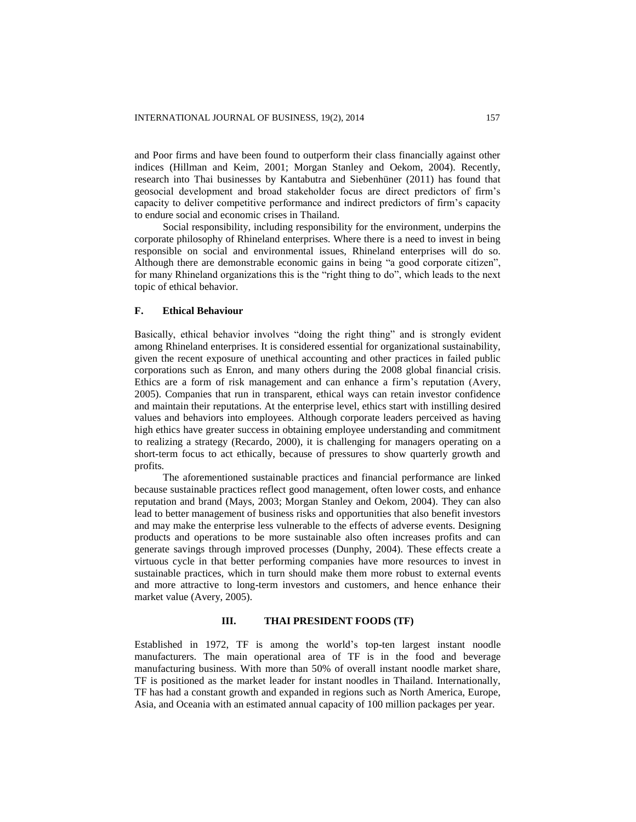and Poor firms and have been found to outperform their class financially against other indices (Hillman and Keim, 2001; Morgan Stanley and Oekom, 2004). Recently, research into Thai businesses by Kantabutra and Siebenhüner (2011) has found that geosocial development and broad stakeholder focus are direct predictors of firm's capacity to deliver competitive performance and indirect predictors of firm's capacity to endure social and economic crises in Thailand.

Social responsibility, including responsibility for the environment, underpins the corporate philosophy of Rhineland enterprises. Where there is a need to invest in being responsible on social and environmental issues, Rhineland enterprises will do so. Although there are demonstrable economic gains in being "a good corporate citizen", for many Rhineland organizations this is the "right thing to do", which leads to the next topic of ethical behavior.

# **F. Ethical Behaviour**

Basically, ethical behavior involves "doing the right thing" and is strongly evident among Rhineland enterprises. It is considered essential for organizational sustainability, given the recent exposure of unethical accounting and other practices in failed public corporations such as Enron, and many others during the 2008 global financial crisis. Ethics are a form of risk management and can enhance a firm's reputation (Avery, 2005). Companies that run in transparent, ethical ways can retain investor confidence and maintain their reputations. At the enterprise level, ethics start with instilling desired values and behaviors into employees. Although corporate leaders perceived as having high ethics have greater success in obtaining employee understanding and commitment to realizing a strategy (Recardo, 2000), it is challenging for managers operating on a short-term focus to act ethically, because of pressures to show quarterly growth and profits.

The aforementioned sustainable practices and financial performance are linked because sustainable practices reflect good management, often lower costs, and enhance reputation and brand (Mays, 2003; Morgan Stanley and Oekom, 2004). They can also lead to better management of business risks and opportunities that also benefit investors and may make the enterprise less vulnerable to the effects of adverse events. Designing products and operations to be more sustainable also often increases profits and can generate savings through improved processes (Dunphy, 2004). These effects create a virtuous cycle in that better performing companies have more resources to invest in sustainable practices, which in turn should make them more robust to external events and more attractive to long-term investors and customers, and hence enhance their market value (Avery, 2005).

#### **III. THAI PRESIDENT FOODS (TF)**

Established in 1972, TF is among the world's top-ten largest instant noodle manufacturers. The main operational area of TF is in the food and beverage manufacturing business. With more than 50% of overall instant noodle market share, TF is positioned as the market leader for instant noodles in Thailand. Internationally, TF has had a constant growth and expanded in regions such as North America, Europe, Asia, and Oceania with an estimated annual capacity of 100 million packages per year.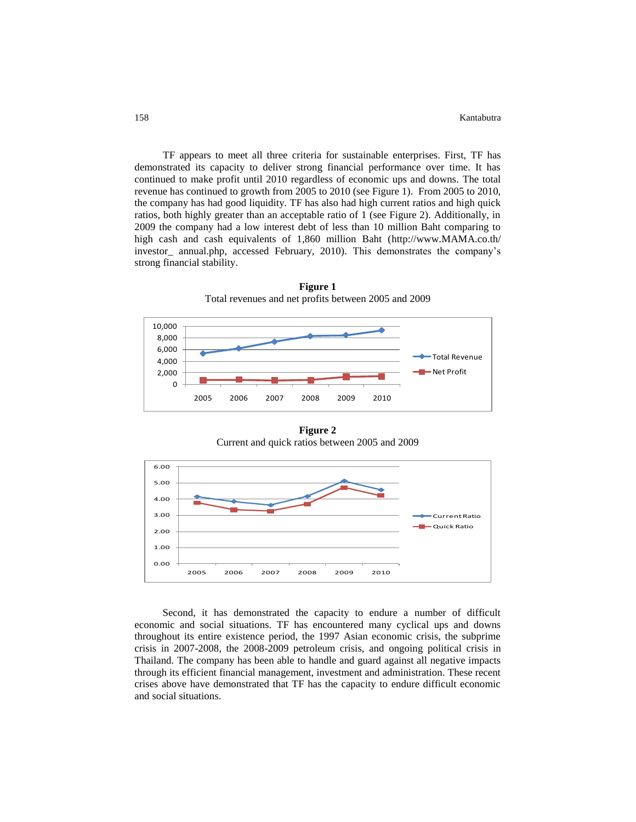TF appears to meet all three criteria for sustainable enterprises. First, TF has demonstrated its capacity to deliver strong financial performance over time. It has continued to make profit until 2010 regardless of economic ups and downs. The total revenue has continued to growth from 2005 to 2010 (see Figure 1). From 2005 to 2010, the company has had good liquidity. TF has also had high current ratios and high quick ratios, both highly greater than an acceptable ratio of 1 (see Figure 2). Additionally, in 2009 the company had a low interest debt of less than 10 million Baht comparing to high cash and cash equivalents of 1,860 million Baht [\(http://www.MAMA.co.th/](http://www.mama.co.th/) investor\_ annual.php, accessed February, 2010). This demonstrates the company's strong financial stability.

**Figure 1** Total revenues and net profits between 2005 and 2009



**Figure 2**  Current and quick ratios between 2005 and 2009



Second, it has demonstrated the capacity to endure a number of difficult economic and social situations. TF has encountered many cyclical ups and downs throughout its entire existence period, the 1997 Asian economic crisis, the subprime crisis in 2007-2008, the 2008-2009 petroleum crisis, and ongoing political crisis in Thailand. The company has been able to handle and guard against all negative impacts through its efficient financial management, investment and administration. These recent crises above have demonstrated that TF has the capacity to endure difficult economic and social situations.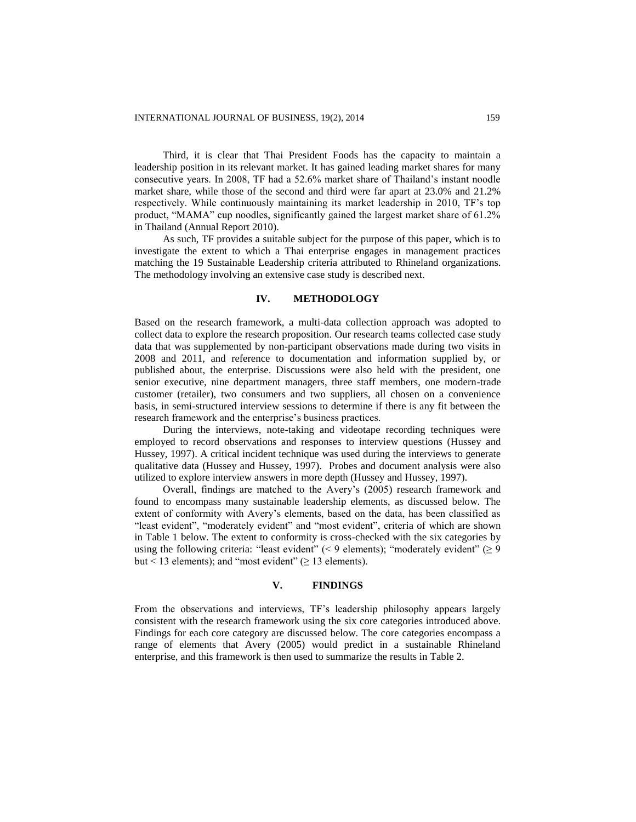Third, it is clear that Thai President Foods has the capacity to maintain a leadership position in its relevant market. It has gained leading market shares for many consecutive years. In 2008, TF had a 52.6% market share of Thailand's instant noodle market share, while those of the second and third were far apart at 23.0% and 21.2% respectively. While continuously maintaining its market leadership in 2010, TF's top product, "MAMA" cup noodles, significantly gained the largest market share of 61.2% in Thailand (Annual Report 2010).

As such, TF provides a suitable subject for the purpose of this paper, which is to investigate the extent to which a Thai enterprise engages in management practices matching the 19 Sustainable Leadership criteria attributed to Rhineland organizations. The methodology involving an extensive case study is described next.

#### **IV. METHODOLOGY**

Based on the research framework, a multi-data collection approach was adopted to collect data to explore the research proposition. Our research teams collected case study data that was supplemented by non-participant observations made during two visits in 2008 and 2011, and reference to documentation and information supplied by, or published about, the enterprise. Discussions were also held with the president, one senior executive, nine department managers, three staff members, one modern-trade customer (retailer), two consumers and two suppliers, all chosen on a convenience basis, in semi-structured interview sessions to determine if there is any fit between the research framework and the enterprise's business practices.

During the interviews, note-taking and videotape recording techniques were employed to record observations and responses to interview questions (Hussey and Hussey, 1997). A critical incident technique was used during the interviews to generate qualitative data (Hussey and Hussey, 1997). Probes and document analysis were also utilized to explore interview answers in more depth (Hussey and Hussey, 1997).

Overall, findings are matched to the Avery's (2005) research framework and found to encompass many sustainable leadership elements, as discussed below. The extent of conformity with Avery's elements, based on the data, has been classified as "least evident", "moderately evident" and "most evident", criteria of which are shown in Table 1 below. The extent to conformity is cross-checked with the six categories by using the following criteria: "least evident" ( $\leq$  9 elements); "moderately evident" ( $\geq$  9 but < 13 elements); and "most evident" ( $\geq$  13 elements).

#### **V. FINDINGS**

From the observations and interviews, TF's leadership philosophy appears largely consistent with the research framework using the six core categories introduced above. Findings for each core category are discussed below. The core categories encompass a range of elements that Avery (2005) would predict in a sustainable Rhineland enterprise, and this framework is then used to summarize the results in Table 2.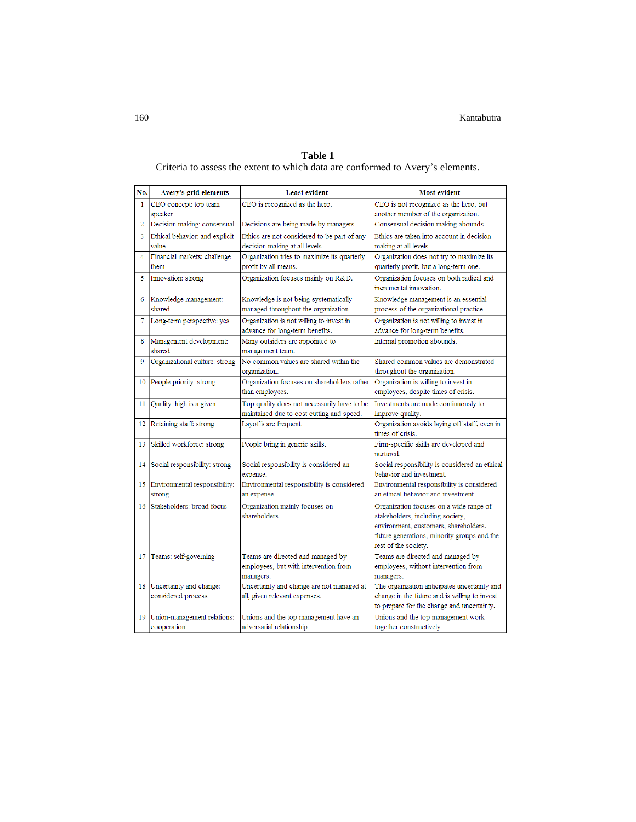160 Kantabutra

| No.            | Avery's grid elements          | <b>Least evident</b>                                           | <b>Most evident</b>                                                         |
|----------------|--------------------------------|----------------------------------------------------------------|-----------------------------------------------------------------------------|
| $\mathbf{1}$   | CEO concept: top team          | CEO is recognized as the hero.                                 | CEO is not recognized as the hero, but                                      |
|                | speaker                        |                                                                | another member of the organization.                                         |
| $\overline{2}$ | Decision making: consensual    | Decisions are being made by managers.                          | Consensual decision making abounds.                                         |
| 3              | Ethical behavior: and explicit | Ethics are not considered to be part of any                    | Ethics are taken into account in decision                                   |
|                | value                          | decision making at all levels.                                 | making at all levels.                                                       |
| 4              | Financial markets: challenge   | Organization tries to maximize its quarterly                   | Organization does not try to maximize its                                   |
|                | them                           | profit by all means.                                           | quarterly profit, but a long-term one.                                      |
| 5              | Innovation: strong             | Organization focuses mainly on R&D.                            | Organization focuses on both radical and                                    |
|                |                                |                                                                | incremental innovation.                                                     |
| 6              | Knowledge management:          | Knowledge is not being systematically                          | Knowledge management is an essential                                        |
|                | shared                         | managed throughout the organization.                           | process of the organizational practice.                                     |
| $\overline{7}$ | Long-term perspective: yes     | Organization is not willing to invest in                       | Organization is not willing to invest in                                    |
|                |                                | advance for long-term benefits.                                | advance for long-term benefits.                                             |
| 8              | Management development:        | Many outsiders are appointed to                                | Internal promotion abounds.                                                 |
|                | shared                         | management team.                                               |                                                                             |
| 9              | Organizational culture: strong | No common values are shared within the                         | Shared common values are demonstrated                                       |
|                |                                | organization.                                                  | throughout the organization.                                                |
| 10             | People priority: strong        | Organization focuses on shareholders rather<br>than employees. | Organization is willing to invest in<br>employees, despite times of crisis. |
|                |                                | Top quality does not necessarily have to be                    | Investments are made continuously to                                        |
| 11             | Quality: high is a given       | maintained due to cost cutting and speed.                      | improve quality.                                                            |
| 12             | Retaining staff: strong        | Layoffs are frequent.                                          | Organization avoids laying off staff, even in                               |
|                |                                |                                                                | times of crisis.                                                            |
| 13             | Skilled workforce: strong      | People bring in generic skills.                                | Firm-specific skills are developed and                                      |
|                |                                |                                                                | nurtured.                                                                   |
| 14             | Social responsibility: strong  | Social responsibility is considered an                         | Social responsibility is considered an ethical                              |
|                |                                | expense.                                                       | behavior and investment.                                                    |
| 15             | Environmental responsibility:  | Environmental responsibility is considered                     | Environmental responsibility is considered                                  |
|                | strong                         | an expense.                                                    | an ethical behavior and investment.                                         |
| 16             | Stakeholders: broad focus      | Organization mainly focuses on                                 | Organization focuses on a wide range of                                     |
|                |                                | shareholders.                                                  | stakeholders, including society,                                            |
|                |                                |                                                                | environment, customers, shareholders,                                       |
|                |                                |                                                                | future generations, minority groups and the                                 |
|                |                                |                                                                | rest of the society.                                                        |
| 17             | Teams: self-governing          | Teams are directed and managed by                              | Teams are directed and managed by                                           |
|                |                                | employees, but with intervention from<br>managers.             | employees, without intervention from<br>managers.                           |
| 18             | Uncertainty and change:        | Uncertainty and change are not managed at                      | The organization anticipates uncertainty and                                |
|                | considered process             | all, given relevant expenses.                                  | change in the future and is willing to invest                               |
|                |                                |                                                                | to prepare for the change and uncertainty.                                  |
| 19             | Union-management relations:    | Unions and the top management have an                          | Unions and the top management work                                          |
|                | cooperation                    | adversarial relationship.                                      | together constructively                                                     |

**Table 1** Criteria to assess the extent to which data are conformed to Avery's elements.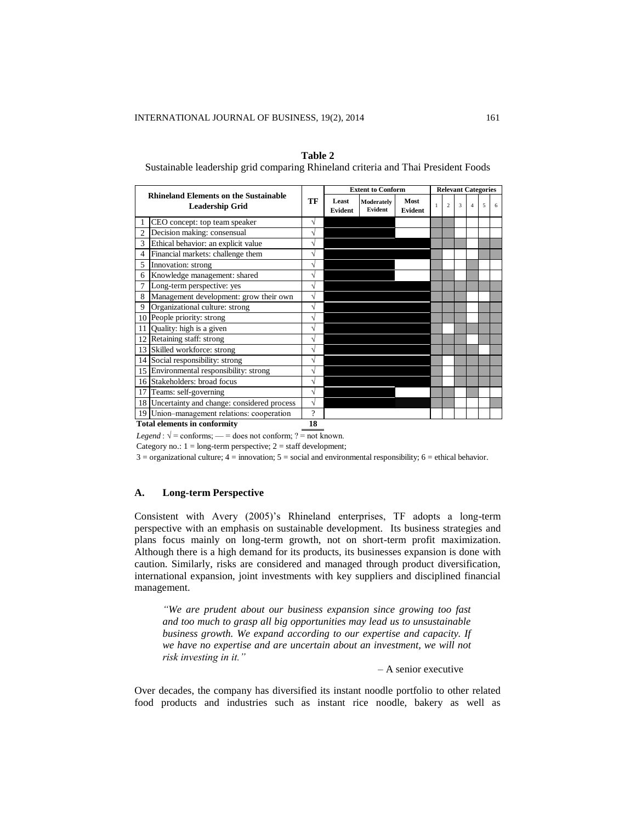| <b>Rhineland Elements on the Sustainable</b><br><b>Leadership Grid</b> |                                               | TF         | <b>Extent to Conform</b> |                       |                 | <b>Relevant Categories</b> |                |   |  |   |   |
|------------------------------------------------------------------------|-----------------------------------------------|------------|--------------------------|-----------------------|-----------------|----------------------------|----------------|---|--|---|---|
|                                                                        |                                               |            | Least<br>Evident         | Moderately<br>Evident | Most<br>Evident |                            | $\overline{c}$ | 3 |  | 5 | 6 |
|                                                                        | CEO concept: top team speaker                 | V          |                          |                       |                 |                            |                |   |  |   |   |
| $\overline{2}$                                                         | Decision making: consensual                   | ٦          |                          |                       |                 |                            |                |   |  |   |   |
| 3                                                                      | Ethical behavior: an explicit value           | ٦          |                          |                       |                 |                            |                |   |  |   |   |
| 4                                                                      | Financial markets: challenge them             | V          |                          |                       |                 |                            |                |   |  |   |   |
| 5                                                                      | Innovation: strong                            | N          |                          |                       |                 |                            |                |   |  |   |   |
| 6                                                                      | Knowledge management: shared                  | ٦          |                          |                       |                 |                            |                |   |  |   |   |
| 7                                                                      | Long-term perspective: yes                    | V          |                          |                       |                 |                            |                |   |  |   |   |
| 8                                                                      | Management development: grow their own        | $\sqrt{ }$ |                          |                       |                 |                            |                |   |  |   |   |
| 9                                                                      | Organizational culture: strong                | V          |                          |                       |                 |                            |                |   |  |   |   |
|                                                                        | 10 People priority: strong                    | N          |                          |                       |                 |                            |                |   |  |   |   |
|                                                                        | 11 Quality: high is a given                   |            |                          |                       |                 |                            |                |   |  |   |   |
|                                                                        | 12 Retaining staff: strong                    |            |                          |                       |                 |                            |                |   |  |   |   |
|                                                                        | 13 Skilled workforce: strong                  |            |                          |                       |                 |                            |                |   |  |   |   |
|                                                                        | 14 Social responsibility: strong              | V          |                          |                       |                 |                            |                |   |  |   |   |
|                                                                        | 15 Environmental responsibility: strong       | V          |                          |                       |                 |                            |                |   |  |   |   |
|                                                                        | 16 Stakeholders: broad focus                  | ٦          |                          |                       |                 |                            |                |   |  |   |   |
|                                                                        | 17 Teams: self-governing                      | V          |                          |                       |                 |                            |                |   |  |   |   |
|                                                                        | 18 Uncertainty and change: considered process | $\sqrt{}$  |                          |                       |                 |                            |                |   |  |   |   |
|                                                                        | 19 Union-management relations: cooperation    | ?          |                          |                       |                 |                            |                |   |  |   |   |

|                            |  | Table 2 |  |  |
|----------------------------|--|---------|--|--|
| the company of the company |  |         |  |  |

Sustainable leadership grid comparing Rhineland criteria and Thai President Foods

**Total elements in conformity 18**

*Legend* :  $\sqrt{\ }$  = conforms; — = does not conform; ? = not known.

Category no.:  $1 = \text{long-term perspective}$ ;  $2 = \text{staff development}$ ;

3 = organizational culture; 4 = innovation; 5 = social and environmental responsibility; 6 = ethical behavior.

## **A. Long-term Perspective**

Consistent with Avery (2005)'s Rhineland enterprises, TF adopts a long-term perspective with an emphasis on sustainable development. Its business strategies and plans focus mainly on long-term growth, not on short-term profit maximization. Although there is a high demand for its products, its businesses expansion is done with caution. Similarly, risks are considered and managed through product diversification, international expansion, joint investments with key suppliers and disciplined financial management.

*"We are prudent about our business expansion since growing too fast and too much to grasp all big opportunities may lead us to unsustainable business growth. We expand according to our expertise and capacity. If we have no expertise and are uncertain about an investment, we will not risk investing in it."* 

*–* A senior executive

Over decades, the company has diversified its instant noodle portfolio to other related food products and industries such as instant rice noodle, bakery as well as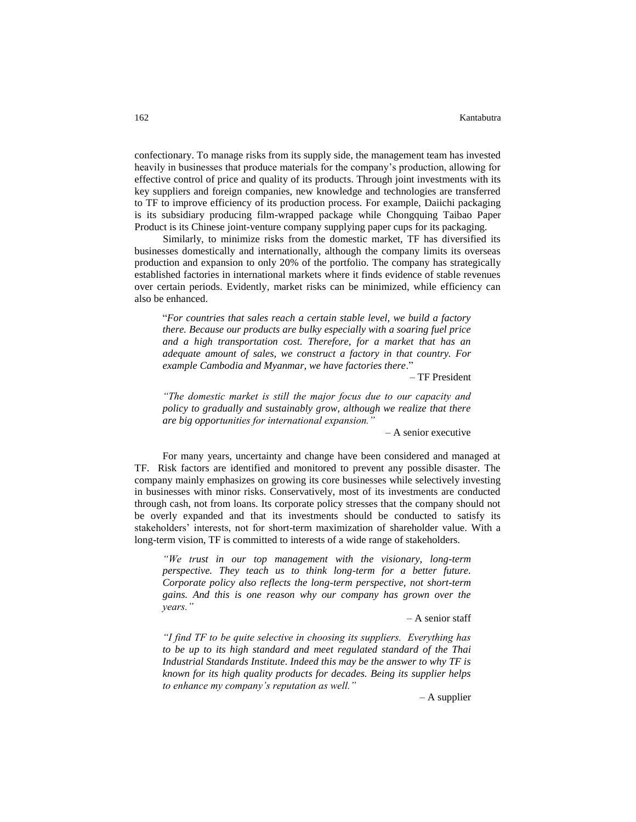confectionary. To manage risks from its supply side, the management team has invested heavily in businesses that produce materials for the company's production, allowing for effective control of price and quality of its products. Through joint investments with its key suppliers and foreign companies, new knowledge and technologies are transferred to TF to improve efficiency of its production process. For example, Daiichi packaging is its subsidiary producing film-wrapped package while Chongquing Taibao Paper Product is its Chinese joint-venture company supplying paper cups for its packaging.

Similarly, to minimize risks from the domestic market, TF has diversified its businesses domestically and internationally, although the company limits its overseas production and expansion to only 20% of the portfolio. The company has strategically established factories in international markets where it finds evidence of stable revenues over certain periods. Evidently, market risks can be minimized, while efficiency can also be enhanced.

"*For countries that sales reach a certain stable level, we build a factory there. Because our products are bulky especially with a soaring fuel price and a high transportation cost. Therefore, for a market that has an adequate amount of sales, we construct a factory in that country. For example Cambodia and Myanmar, we have factories there*."

*–* TF President

*"The domestic market is still the major focus due to our capacity and policy to gradually and sustainably grow, although we realize that there are big opportunities for international expansion."* 

*–* A senior executive

For many years, uncertainty and change have been considered and managed at TF. Risk factors are identified and monitored to prevent any possible disaster. The company mainly emphasizes on growing its core businesses while selectively investing in businesses with minor risks. Conservatively, most of its investments are conducted through cash, not from loans. Its corporate policy stresses that the company should not be overly expanded and that its investments should be conducted to satisfy its stakeholders' interests, not for short-term maximization of shareholder value. With a long-term vision, TF is committed to interests of a wide range of stakeholders.

*"We trust in our top management with the visionary, long-term perspective. They teach us to think long-term for a better future. Corporate policy also reflects the long-term perspective, not short-term gains. And this is one reason why our company has grown over the years."* 

– A senior staff

*"I find TF to be quite selective in choosing its suppliers. Everything has to be up to its high standard and meet regulated standard of the Thai Industrial Standards Institute. Indeed this may be the answer to why TF is known for its high quality products for decades. Being its supplier helps to enhance my company's reputation as well."*

– A supplier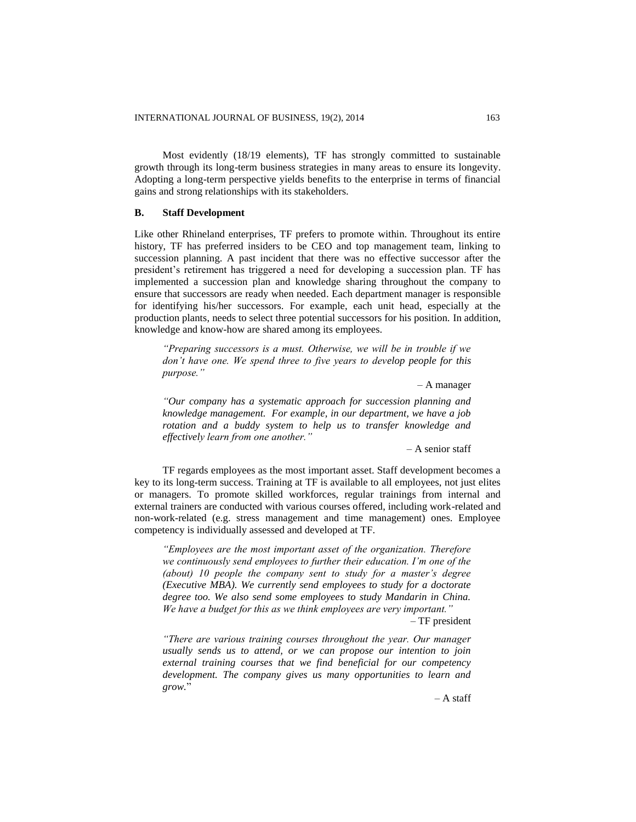Most evidently (18/19 elements), TF has strongly committed to sustainable growth through its long-term business strategies in many areas to ensure its longevity. Adopting a long-term perspective yields benefits to the enterprise in terms of financial gains and strong relationships with its stakeholders.

#### **B. Staff Development**

Like other Rhineland enterprises, TF prefers to promote within. Throughout its entire history, TF has preferred insiders to be CEO and top management team, linking to succession planning. A past incident that there was no effective successor after the president's retirement has triggered a need for developing a succession plan. TF has implemented a succession plan and knowledge sharing throughout the company to ensure that successors are ready when needed. Each department manager is responsible for identifying his/her successors. For example, each unit head, especially at the production plants, needs to select three potential successors for his position. In addition, knowledge and know-how are shared among its employees.

*"Preparing successors is a must. Otherwise, we will be in trouble if we don't have one. We spend three to five years to develop people for this purpose."*

– A manager

*"Our company has a systematic approach for succession planning and knowledge management. For example, in our department, we have a job rotation and a buddy system to help us to transfer knowledge and effectively learn from one another."*

– A senior staff

TF regards employees as the most important asset. Staff development becomes a key to its long-term success. Training at TF is available to all employees, not just elites or managers. To promote skilled workforces, regular trainings from internal and external trainers are conducted with various courses offered, including work-related and non-work-related (e.g. stress management and time management) ones. Employee competency is individually assessed and developed at TF.

*"Employees are the most important asset of the organization. Therefore we continuously send employees to further their education. I'm one of the (about) 10 people the company sent to study for a master's degree (Executive MBA). We currently send employees to study for a doctorate degree too. We also send some employees to study Mandarin in China. We have a budget for this as we think employees are very important."* 

– TF president

*"There are various training courses throughout the year. Our manager usually sends us to attend, or we can propose our intention to join external training courses that we find beneficial for our competency development. The company gives us many opportunities to learn and grow.*"

– A staff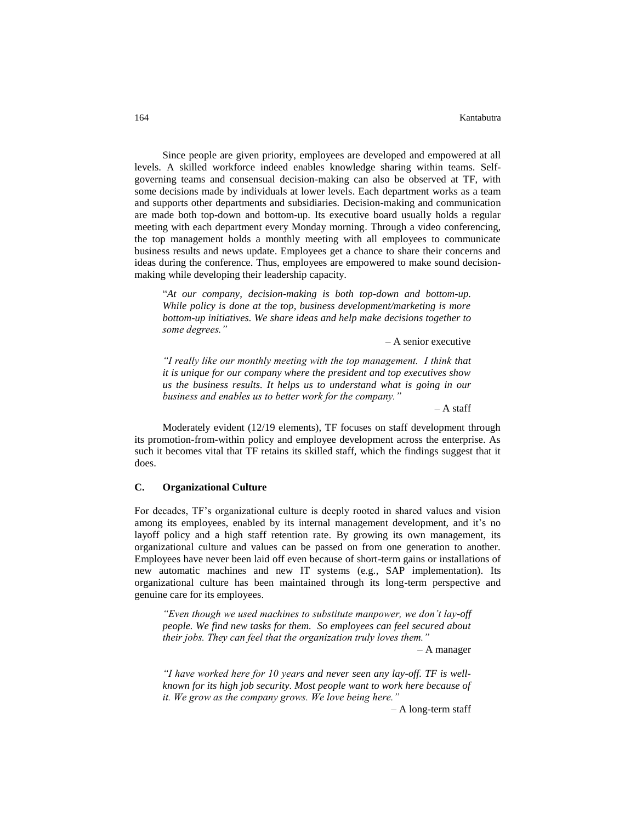Since people are given priority, employees are developed and empowered at all levels. A skilled workforce indeed enables knowledge sharing within teams. Selfgoverning teams and consensual decision-making can also be observed at TF, with some decisions made by individuals at lower levels. Each department works as a team and supports other departments and subsidiaries. Decision-making and communication are made both top-down and bottom-up. Its executive board usually holds a regular meeting with each department every Monday morning. Through a video conferencing, the top management holds a monthly meeting with all employees to communicate business results and news update. Employees get a chance to share their concerns and ideas during the conference. Thus, employees are empowered to make sound decisionmaking while developing their leadership capacity.

"*At our company, decision-making is both top-down and bottom-up. While policy is done at the top, business development/marketing is more bottom-up initiatives. We share ideas and help make decisions together to some degrees."*

– A senior executive

*"I really like our monthly meeting with the top management. I think that it is unique for our company where the president and top executives show us the business results. It helps us to understand what is going in our business and enables us to better work for the company."* 

– A staff

Moderately evident (12/19 elements), TF focuses on staff development through its promotion-from-within policy and employee development across the enterprise. As such it becomes vital that TF retains its skilled staff, which the findings suggest that it does.

## **C. Organizational Culture**

For decades, TF's organizational culture is deeply rooted in shared values and vision among its employees, enabled by its internal management development, and it's no layoff policy and a high staff retention rate. By growing its own management, its organizational culture and values can be passed on from one generation to another. Employees have never been laid off even because of short-term gains or installations of new automatic machines and new IT systems (e.g., SAP implementation). Its organizational culture has been maintained through its long-term perspective and genuine care for its employees.

*"Even though we used machines to substitute manpower, we don't lay-off people. We find new tasks for them. So employees can feel secured about their jobs. They can feel that the organization truly loves them."* 

– A manager

*"I have worked here for 10 years and never seen any lay-off. TF is wellknown for its high job security. Most people want to work here because of it. We grow as the company grows. We love being here."* 

– A long-term staff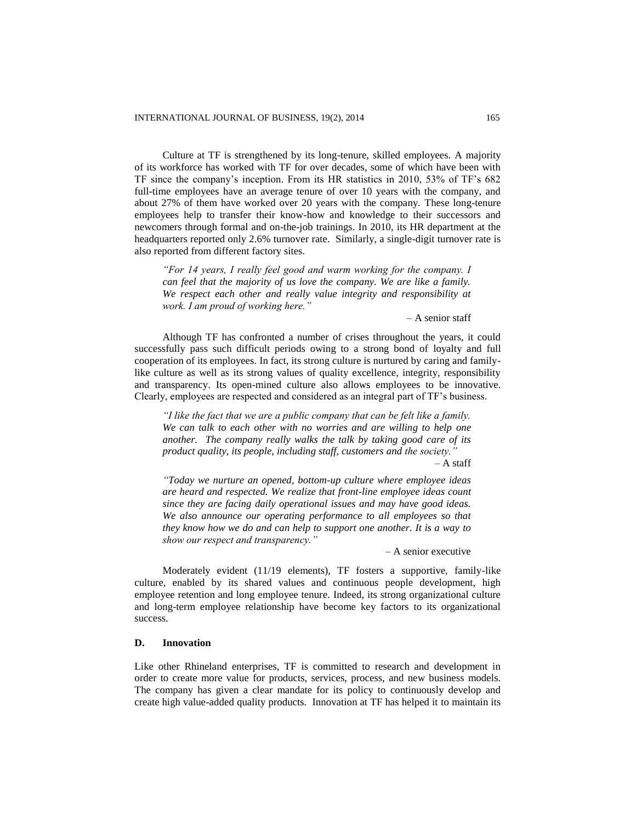Culture at TF is strengthened by its long-tenure, skilled employees. A majority of its workforce has worked with TF for over decades, some of which have been with TF since the company's inception. From its HR statistics in 2010, 53% of TF's 682 full-time employees have an average tenure of over 10 years with the company, and about 27% of them have worked over 20 years with the company. These long-tenure employees help to transfer their know-how and knowledge to their successors and newcomers through formal and on-the-job trainings. In 2010, its HR department at the headquarters reported only 2.6% turnover rate. Similarly, a single-digit turnover rate is also reported from different factory sites.

*"For 14 years, I really feel good and warm working for the company. I can feel that the majority of us love the company. We are like a family. We respect each other and really value integrity and responsibility at work. I am proud of working here."* 

– A senior staff

Although TF has confronted a number of crises throughout the years, it could successfully pass such difficult periods owing to a strong bond of loyalty and full cooperation of its employees. In fact, its strong culture is nurtured by caring and familylike culture as well as its strong values of quality excellence, integrity, responsibility and transparency. Its open-mined culture also allows employees to be innovative. Clearly, employees are respected and considered as an integral part of TF's business.

*"I like the fact that we are a public company that can be felt like a family. We can talk to each other with no worries and are willing to help one another. The company really walks the talk by taking good care of its product quality, its people, including staff, customers and the society."*

– A staff

*"Today we nurture an opened, bottom-up culture where employee ideas are heard and respected. We realize that front-line employee ideas count since they are facing daily operational issues and may have good ideas. We also announce our operating performance to all employees so that they know how we do and can help to support one another. It is a way to show our respect and transparency."* 

– A senior executive

Moderately evident (11/19 elements), TF fosters a supportive, family-like culture, enabled by its shared values and continuous people development, high employee retention and long employee tenure. Indeed, its strong organizational culture and long-term employee relationship have become key factors to its organizational success.

## **D. Innovation**

Like other Rhineland enterprises, TF is committed to research and development in order to create more value for products, services, process, and new business models. The company has given a clear mandate for its policy to continuously develop and create high value-added quality products. Innovation at TF has helped it to maintain its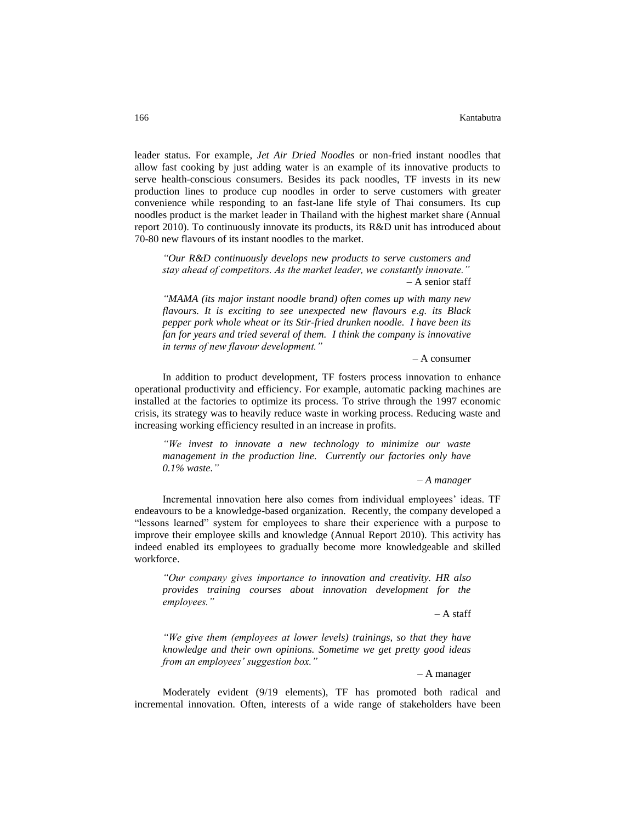leader status. For example, *Jet Air Dried Noodles* or non-fried instant noodles that allow fast cooking by just adding water is an example of its innovative products to serve health-conscious consumers. Besides its pack noodles, TF invests in its new production lines to produce cup noodles in order to serve customers with greater convenience while responding to an fast-lane life style of Thai consumers. Its cup noodles product is the market leader in Thailand with the highest market share (Annual report 2010). To continuously innovate its products, its R&D unit has introduced about 70-80 new flavours of its instant noodles to the market.

*"Our R&D continuously develops new products to serve customers and stay ahead of competitors. As the market leader, we constantly innovate."*  – A senior staff

*"MAMA (its major instant noodle brand) often comes up with many new flavours. It is exciting to see unexpected new flavours e.g. its Black pepper pork whole wheat or its Stir-fried drunken noodle. I have been its fan for years and tried several of them. I think the company is innovative in terms of new flavour development."*

*–* A consumer

In addition to product development, TF fosters process innovation to enhance operational productivity and efficiency. For example, automatic packing machines are installed at the factories to optimize its process. To strive through the 1997 economic crisis, its strategy was to heavily reduce waste in working process. Reducing waste and increasing working efficiency resulted in an increase in profits.

*"We invest to innovate a new technology to minimize our waste management in the production line. Currently our factories only have 0.1% waste."*

*– A manager*

Incremental innovation here also comes from individual employees' ideas. TF endeavours to be a knowledge-based organization. Recently, the company developed a "lessons learned" system for employees to share their experience with a purpose to improve their employee skills and knowledge (Annual Report 2010). This activity has indeed enabled its employees to gradually become more knowledgeable and skilled workforce.

*"Our company gives importance to innovation and creativity. HR also provides training courses about innovation development for the employees."* 

– A staff

*"We give them (employees at lower levels) trainings, so that they have knowledge and their own opinions. Sometime we get pretty good ideas from an employees' suggestion box."*

– A manager

Moderately evident (9/19 elements), TF has promoted both radical and incremental innovation. Often, interests of a wide range of stakeholders have been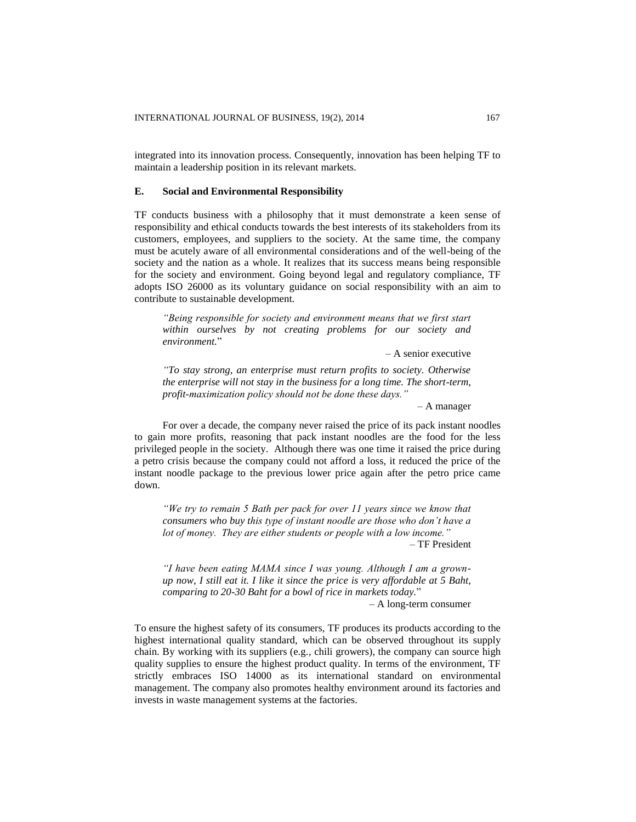integrated into its innovation process. Consequently, innovation has been helping TF to maintain a leadership position in its relevant markets.

#### **E. Social and Environmental Responsibility**

TF conducts business with a philosophy that it must demonstrate a keen sense of responsibility and ethical conducts towards the best interests of its stakeholders from its customers, employees, and suppliers to the society. At the same time, the company must be acutely aware of all environmental considerations and of the well-being of the society and the nation as a whole. It realizes that its success means being responsible for the society and environment. Going beyond legal and regulatory compliance, TF adopts ISO 26000 as its voluntary guidance on social responsibility with an aim to contribute to sustainable development.

*"Being responsible for society and environment means that we first start within ourselves by not creating problems for our society and environment.*"

– A senior executive

*"To stay strong, an enterprise must return profits to society. Otherwise the enterprise will not stay in the business for a long time. The short-term, profit-maximization policy should not be done these days."*

– A manager

For over a decade, the company never raised the price of its pack instant noodles to gain more profits, reasoning that pack instant noodles are the food for the less privileged people in the society. Although there was one time it raised the price during a petro crisis because the company could not afford a loss, it reduced the price of the instant noodle package to the previous lower price again after the petro price came down.

*"We try to remain 5 Bath per pack for over 11 years since we know that consumers who buy this type of instant noodle are those who don't have a lot of money. They are either students or people with a low income."* – TF President

*"I have been eating MAMA since I was young. Although I am a grownup now, I still eat it. I like it since the price is very affordable at 5 Baht, comparing to 20-30 Baht for a bowl of rice in markets today.*"

*–* A long-term consumer

To ensure the highest safety of its consumers, TF produces its products according to the highest international quality standard, which can be observed throughout its supply chain. By working with its suppliers (e.g., chili growers), the company can source high quality supplies to ensure the highest product quality. In terms of the environment, TF strictly embraces ISO 14000 as its international standard on environmental management. The company also promotes healthy environment around its factories and invests in waste management systems at the factories.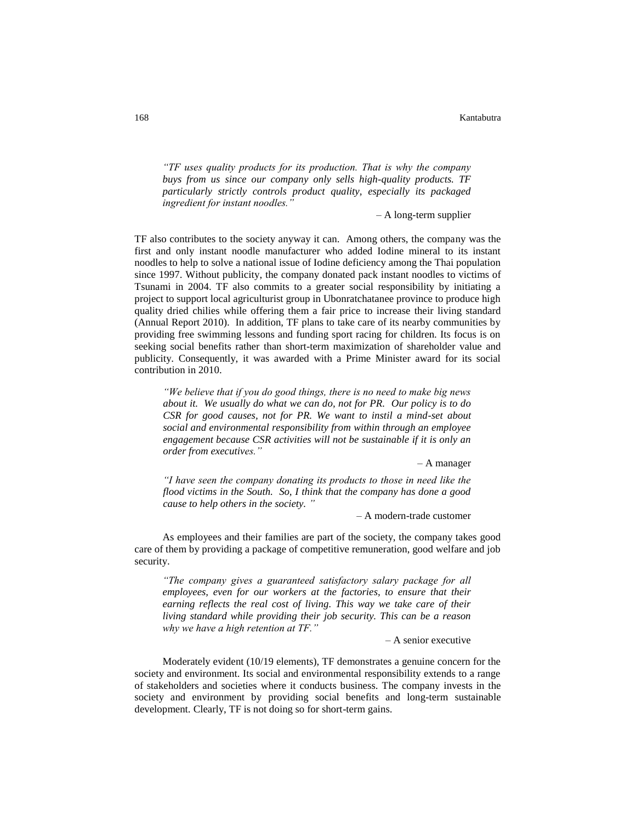#### 168 Kantabutra

*"TF uses quality products for its production. That is why the company buys from us since our company only sells high-quality products. TF particularly strictly controls product quality, especially its packaged ingredient for instant noodles."*

– A long-term supplier

TF also contributes to the society anyway it can. Among others, the company was the first and only instant noodle manufacturer who added Iodine mineral to its instant noodles to help to solve a national issue of Iodine deficiency among the Thai population since 1997. Without publicity, the company donated pack instant noodles to victims of Tsunami in 2004. TF also commits to a greater social responsibility by initiating a project to support local agriculturist group in Ubonratchatanee province to produce high quality dried chilies while offering them a fair price to increase their living standard (Annual Report 2010). In addition, TF plans to take care of its nearby communities by providing free swimming lessons and funding sport racing for children. Its focus is on seeking social benefits rather than short-term maximization of shareholder value and publicity. Consequently, it was awarded with a Prime Minister award for its social contribution in 2010.

*"We believe that if you do good things, there is no need to make big news about it. We usually do what we can do, not for PR. Our policy is to do CSR for good causes, not for PR. We want to instil a mind-set about social and environmental responsibility from within through an employee engagement because CSR activities will not be sustainable if it is only an order from executives."* 

*–* A manager

*"I have seen the company donating its products to those in need like the flood victims in the South. So, I think that the company has done a good cause to help others in the society. "*

*–* A modern-trade customer

As employees and their families are part of the society, the company takes good care of them by providing a package of competitive remuneration, good welfare and job security.

*"The company gives a guaranteed satisfactory salary package for all employees, even for our workers at the factories, to ensure that their*  earning reflects the real cost of living. This way we take care of their *living standard while providing their job security. This can be a reason why we have a high retention at TF."*

– A senior executive

Moderately evident (10/19 elements), TF demonstrates a genuine concern for the society and environment. Its social and environmental responsibility extends to a range of stakeholders and societies where it conducts business. The company invests in the society and environment by providing social benefits and long-term sustainable development. Clearly, TF is not doing so for short-term gains.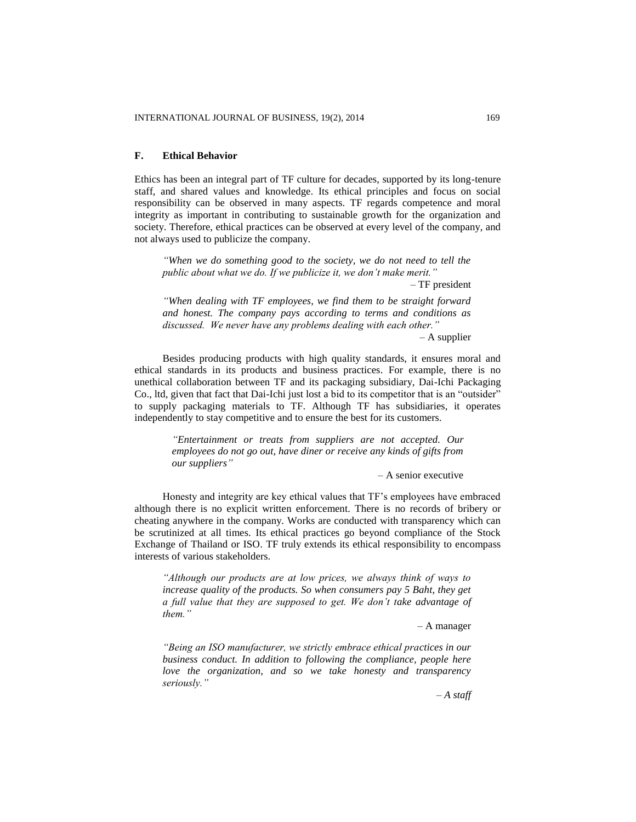# **F. Ethical Behavior**

Ethics has been an integral part of TF culture for decades, supported by its long-tenure staff, and shared values and knowledge. Its ethical principles and focus on social responsibility can be observed in many aspects. TF regards competence and moral integrity as important in contributing to sustainable growth for the organization and society. Therefore, ethical practices can be observed at every level of the company, and not always used to publicize the company.

*"When we do something good to the society, we do not need to tell the public about what we do. If we publicize it, we don't make merit."*

– TF president

*"When dealing with TF employees, we find them to be straight forward and honest. The company pays according to terms and conditions as discussed. We never have any problems dealing with each other."* 

– A supplier

Besides producing products with high quality standards, it ensures moral and ethical standards in its products and business practices. For example, there is no unethical collaboration between TF and its packaging subsidiary, Dai-Ichi Packaging Co., ltd, given that fact that Dai-Ichi just lost a bid to its competitor that is an "outsider" to supply packaging materials to TF. Although TF has subsidiaries, it operates independently to stay competitive and to ensure the best for its customers.

> *"Entertainment or treats from suppliers are not accepted. Our employees do not go out, have diner or receive any kinds of gifts from our suppliers"*

> > – A senior executive

Honesty and integrity are key ethical values that TF's employees have embraced although there is no explicit written enforcement. There is no records of bribery or cheating anywhere in the company. Works are conducted with transparency which can be scrutinized at all times. Its ethical practices go beyond compliance of the Stock Exchange of Thailand or ISO. TF truly extends its ethical responsibility to encompass interests of various stakeholders.

*"Although our products are at low prices, we always think of ways to increase quality of the products. So when consumers pay 5 Baht, they get a full value that they are supposed to get. We don't take advantage of them."*

– A manager

*"Being an ISO manufacturer, we strictly embrace ethical practices in our business conduct. In addition to following the compliance, people here love the organization, and so we take honesty and transparency seriously."*

*– A staff*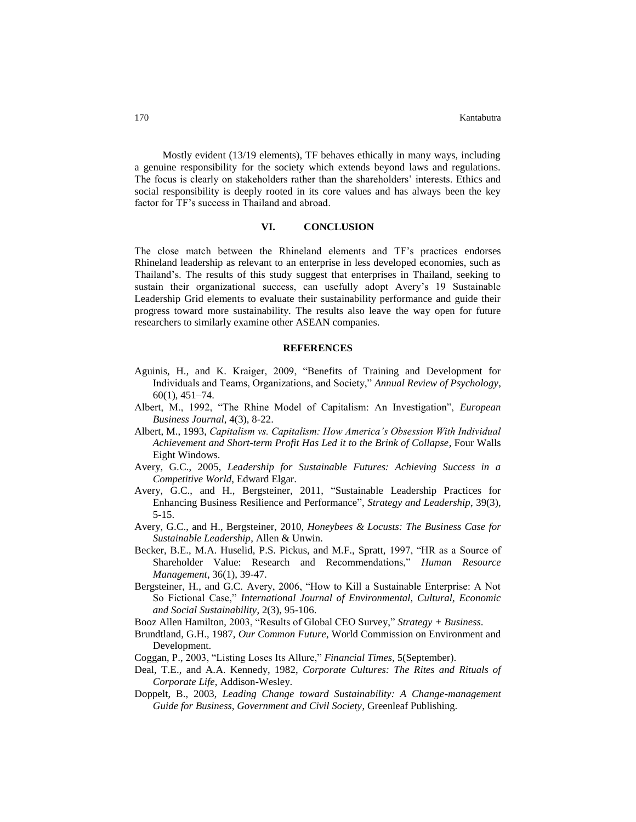Mostly evident (13/19 elements), TF behaves ethically in many ways, including a genuine responsibility for the society which extends beyond laws and regulations. The focus is clearly on stakeholders rather than the shareholders' interests. Ethics and social responsibility is deeply rooted in its core values and has always been the key factor for TF's success in Thailand and abroad.

#### **VI. CONCLUSION**

The close match between the Rhineland elements and TF's practices endorses Rhineland leadership as relevant to an enterprise in less developed economies, such as Thailand's. The results of this study suggest that enterprises in Thailand, seeking to sustain their organizational success, can usefully adopt Avery's 19 Sustainable Leadership Grid elements to evaluate their sustainability performance and guide their progress toward more sustainability. The results also leave the way open for future researchers to similarly examine other ASEAN companies.

#### **REFERENCES**

- Aguinis, H., and K. Kraiger, 2009, "Benefits of Training and Development for Individuals and Teams, Organizations, and Society," *Annual Review of Psychology*, 60(1), 451–74.
- Albert, M., 1992, "The Rhine Model of Capitalism: An Investigation", *European Business Journal*, 4(3), 8-22.
- Albert, M., 1993, *Capitalism vs. Capitalism: How America's Obsession With Individual Achievement and Short-term Profit Has Led it to the Brink of Collapse*, Four Walls Eight Windows.
- Avery, G.C., 2005, *Leadership for Sustainable Futures: Achieving Success in a Competitive World*, Edward Elgar.
- Avery, G.C., and H., Bergsteiner, 2011, "Sustainable Leadership Practices for Enhancing Business Resilience and Performance", *Strategy and Leadership*, 39(3), 5-15.
- Avery, G.C., and H., Bergsteiner, 2010, *Honeybees & Locusts: The Business Case for Sustainable Leadership*, Allen & Unwin.
- Becker, B.E., M.A. Huselid, P.S. Pickus, and M.F., Spratt, 1997, "HR as a Source of Shareholder Value: Research and Recommendations," *Human Resource Management*, 36(1), 39-47.
- Bergsteiner, H., and G.C. Avery, 2006, "How to Kill a Sustainable Enterprise: A Not So Fictional Case," *International Journal of Environmental, Cultural, Economic and Social Sustainability*, 2(3), 95-106.
- Booz Allen Hamilton, 2003, "Results of Global CEO Survey," *Strategy + Business*.
- Brundtland, G.H., 1987, *Our Common Future*, World Commission on Environment and Development.
- Coggan, P., 2003, "Listing Loses Its Allure," *Financial Times*, 5(September).
- Deal, T.E., and A.A. Kennedy, 1982, *Corporate Cultures: The Rites and Rituals of Corporate Life*, Addison-Wesley.
- Doppelt, B., 2003, *Leading Change toward Sustainability: A Change-management Guide for Business, Government and Civil Society*, Greenleaf Publishing.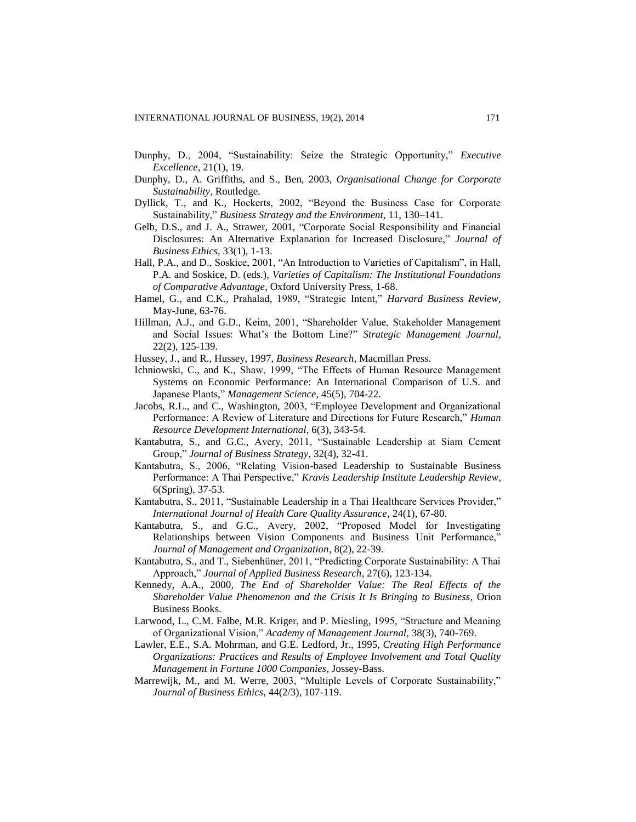- Dunphy, D., 2004, "Sustainability: Seize the Strategic Opportunity," *Executive Excellence*, 21(1), 19.
- Dunphy, D., A. Griffiths, and S., Ben, 2003, *Organisational Change for Corporate Sustainability*, Routledge.
- Dyllick, T., and K., Hockerts, 2002, "Beyond the Business Case for Corporate Sustainability," *Business Strategy and the Environment*, 11, 130–141.
- Gelb, D.S., and J. A., Strawer, 2001, "Corporate Social Responsibility and Financial Disclosures: An Alternative Explanation for Increased Disclosure," *Journal of Business Ethics,* 33(1), 1-13.
- Hall, P.A., and D., Soskice, 2001, "An Introduction to Varieties of Capitalism", in Hall, P.A. and Soskice, D. (eds.), *Varieties of Capitalism: The Institutional Foundations of Comparative Advantage*, Oxford University Press, 1-68.
- Hamel, G., and C.K., Prahalad, 1989, "Strategic Intent," *Harvard Business Review*, May-June, 63-76.
- Hillman, A.J., and G.D., Keim, 2001, "Shareholder Value, Stakeholder Management and Social Issues: What's the Bottom Line?" *Strategic Management Journal*, 22(2), 125-139.
- Hussey, J., and R., Hussey, 1997, *Business Research*, Macmillan Press.
- Ichniowski, C., and K., Shaw, 1999, "The Effects of Human Resource Management Systems on Economic Performance: An International Comparison of U.S. and Japanese Plants," *Management Science*, 45(5), 704-22.
- Jacobs, R.L., and C., Washington, 2003, "Employee Development and Organizational Performance: A Review of Literature and Directions for Future Research," *Human Resource Development International*, 6(3), 343-54.
- Kantabutra, S., and G.C., Avery, 2011, "Sustainable Leadership at Siam Cement Group," *Journal of Business Strategy*, 32(4), 32-41.
- Kantabutra, S., 2006, "Relating Vision-based Leadership to Sustainable Business Performance: A Thai Perspective," *Kravis Leadership Institute Leadership Review*, 6(Spring), 37-53.
- Kantabutra, S., 2011, "Sustainable Leadership in a Thai Healthcare Services Provider," *International Journal of Health Care Quality Assurance*, 24(1), 67-80.
- Kantabutra, S., and G.C., Avery, 2002, "Proposed Model for Investigating Relationships between Vision Components and Business Unit Performance," *Journal of Management and Organization*, 8(2), 22-39.
- Kantabutra, S., and T., Siebenhüner, 2011, "Predicting Corporate Sustainability: A Thai Approach," *Journal of Applied Business Research*, 27(6), 123-134.
- Kennedy, A.A., 2000, *The End of Shareholder Value: The Real Effects of the Shareholder Value Phenomenon and the Crisis It Is Bringing to Business*, Orion Business Books.
- Larwood, L., C.M. Falbe, M.R. Kriger, and P. Miesling, 1995, "Structure and Meaning of Organizational Vision," *Academy of Management Journal*, 38(3), 740-769.
- Lawler, E.E., S.A. Mohrman, and G.E. Ledford, Jr., 1995, *Creating High Performance Organizations: Practices and Results of Employee Involvement and Total Quality Management in Fortune 1000 Companies*, Jossey-Bass.
- Marrewijk, M., and M. Werre, 2003, "Multiple Levels of Corporate Sustainability," *Journal of Business Ethics*, 44(2/3), 107-119.